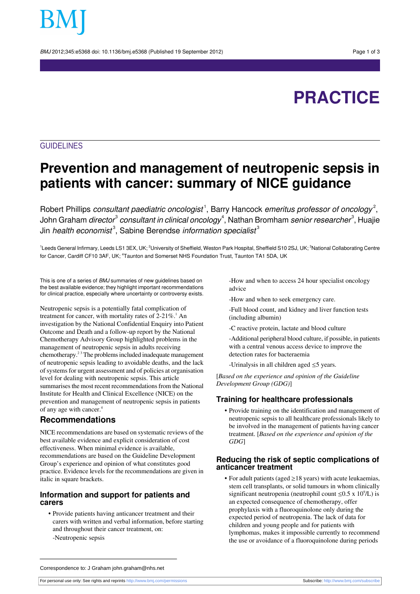BMJ 2012;345:e5368 doi: 10.1136/bmj.e5368 (Published 19 September 2012) Page 1 of 3

# **PRACTICE**

## GUIDELINES

## **Prevention and management of neutropenic sepsis in patients with cancer: summary of NICE guidance**

Robert Phillips *consultant paediatric oncologist*<sup>1</sup>, Barry Hancock *emeritus professor of oncology*<sup>2</sup>, John Graham *director* $^3$  *consultant in clinical oncology* $^4$ , Nathan Bromham *senior researcher* $^3$ , Huajie Jin *health economist*  $^3$ , Sabine Berendse *information specialist*  $^3$ 

<sup>1</sup>Leeds General Infirmary, Leeds LS1 3EX, UK; <sup>2</sup>University of Sheffield, Weston Park Hospital, Sheffield S10 2SJ, UK; <sup>3</sup>National Collaborating Centre for Cancer, Cardiff CF10 3AF, UK; <sup>4</sup>Taunton and Somerset NHS Foundation Trust, Taunton TA1 5DA, UK

This is one of a series of BMJ summaries of new guidelines based on the best available evidence; they highlight important recommendations for clinical practice, especially where uncertainty or controversy exists.

Neutropenic sepsis is a potentially fatal complication of treatment for cancer, with mortality rates of  $2-21\%$ .<sup>1</sup> An investigation by the National Confidential Enquiry into Patient Outcome and Death and a follow-up report by the National Chemotherapy Advisory Group highlighted problems in the management of neutropenic sepsis in adults receiving chemotherapy.<sup>23</sup> The problems included inadequate management of neutropenic sepsis leading to avoidable deaths, and the lack of systems for urgent assessment and of policies at organisation level for dealing with neutropenic sepsis. This article summarises the most recent recommendations from the National Institute for Health and Clinical Excellence (NICE) on the prevention and management of neutropenic sepsis in patients of any age with cancer.<sup>4</sup>

## **Recommendations**

NICE recommendations are based on systematic reviews of the best available evidence and explicit consideration of cost effectiveness. When minimal evidence is available, recommendations are based on the Guideline Development Group's experience and opinion of what constitutes good practice. Evidence levels for the recommendations are given in italic in square brackets.

#### **Information and support for patients and carers**

**•** Provide patients having anticancer treatment and their carers with written and verbal information, before starting and throughout their cancer treatment, on: -Neutropenic sepsis

-How and when to access 24 hour specialist oncology advice

-How and when to seek emergency care.

-Full blood count, and kidney and liver function tests (including albumin)

-C reactive protein, lactate and blood culture

-Additional peripheral blood culture, if possible, in patients with a central venous access device to improve the detection rates for bacteraemia

-Urinalysis in all children aged ≤5 years.

[*Based on the experience and opinion of the Guideline Development Group (GDG)*]

## **Training for healthcare professionals**

**•** Provide training on the identification and management of neutropenic sepsis to all healthcare professionals likely to be involved in the management of patients having cancer treatment. [*Based on the experience and opinion of the GDG*]

#### **Reducing the risk of septic complications of anticancer treatment**

**•** For adult patients (aged ≥18 years) with acute leukaemias, stem cell transplants, or solid tumours in whom clinically significant neutropenia (neutrophil count  $\leq 0.5 \times 10^9$ /L) is an expected consequence of chemotherapy, offer prophylaxis with a fluoroquinolone only during the expected period of neutropenia. The lack of data for children and young people and for patients with lymphomas, makes it impossible currently to recommend the use or avoidance of a fluoroquinolone during periods

Correspondence to: J Graham john.graham@nhs.net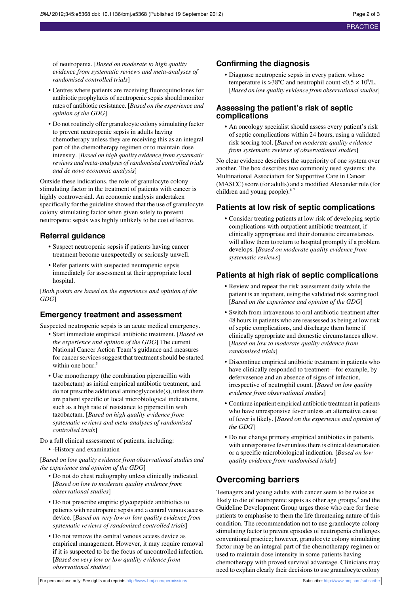of neutropenia. [*Based on moderate to high quality evidence from systematic reviews and meta-analyses of randomised controlled trials*]

- **•** Centres where patients are receiving fluoroquinolones for antibiotic prophylaxis of neutropenic sepsisshould monitor rates of antibiotic resistance. [*Based on the experience and opinion of the GDG*]
- **•** Do not routinely offer granulocyte colony stimulating factor to prevent neutropenic sepsis in adults having chemotherapy unless they are receiving this as an integral part of the chemotherapy regimen or to maintain dose intensity. [*Based on high quality evidence from systematic reviews and meta-analyses ofrandomised controlled trials and de novo economic analysis*]

Outside these indications, the role of granulocyte colony stimulating factor in the treatment of patients with cancer is highly controversial. An economic analysis undertaken specifically for the guideline showed that the use of granulocyte colony stimulating factor when given solely to prevent neutropenic sepsis was highly unlikely to be cost effective.

#### **Referral guidance**

- **•** Suspect neutropenic sepsis if patients having cancer treatment become unexpectedly or seriously unwell.
- **•** Refer patients with suspected neutropenic sepsis immediately for assessment at their appropriate local hospital.

[*Both points are based on the experience and opinion of the GDG*]

## **Emergency treatment and assessment**

Suspected neutropenic sepsis is an acute medical emergency.

- **•** Start immediate empirical antibiotic treatment. [*Based on the experience and opinion of the GDG*] The current National Cancer Action Team's guidance and measures for cancer services suggest that treatment should be started within one hour.<sup>5</sup>
- **•** Use monotherapy (the combination piperacillin with tazobactam) as initial empirical antibiotic treatment, and  $\alpha$  do not prescribe additional aminoglycoside $(s)$ , unless there are patient specific or local microbiological indications, such as a high rate of resistance to piperacillin with tazobactam. [*Based on high quality evidence from systematic reviews and meta-analyses of randomised controlled trials*]

Do a full clinical assessment of patients, including:

**•** -History and examination

[*Based on low quality evidence from observational studies and the experience and opinion of the GDG*]

- **•** Do not do chest radiography unless clinically indicated. [*Based on low to moderate quality evidence from observational studies*]
- **•** Do not prescribe empiric glycopeptide antibiotics to patients with neutropenic sepsis and a central venous access device. [*Based on very low or low quality evidence from systematic reviews of randomised controlled trials*]
- **•** Do not remove the central venous access device as empirical management. However, it may require removal if it is suspected to be the focus of uncontrolled infection. [*Based on very low or low quality evidence from observational studies*]

## **Confirming the diagnosis**

**•** Diagnose neutropenic sepsis in every patient whose temperature is >38°C and neutrophil count <0.5  $\times$  10°/L. [*Based on low quality evidence from observationalstudies*]

## **Assessing the patient's risk of septic complications**

**•** An oncology specialist should assess every patient's risk of septic complications within 24 hours, using a validated risk scoring tool. [*Based on moderate quality evidence from systematic reviews of observational studies*]

No clear evidence describes the superiority of one system over another. The box describes two commonly used systems: the Multinational Association for Supportive Care in Cancer (MASCC) score (for adults) and a modified Alexander rule (for children and young people).<sup>67</sup>

## **Patients at low risk of septic complications**

**•** Consider treating patients at low risk of developing septic complications with outpatient antibiotic treatment, if clinically appropriate and their domestic circumstances will allow them to return to hospital promptly if a problem develops. [*Based on moderate quality evidence from systematic reviews*]

## **Patients at high risk of septic complications**

- **•** Review and repeat the risk assessment daily while the patient is an inpatient, using the validated risk scoring tool. [*Based on the experience and opinion of the GDG*]
- **•** Switch from intravenous to oral antibiotic treatment after 48 hours in patients who are reassessed as being at low risk of septic complications, and discharge them home if clinically appropriate and domestic circumstances allow. [*Based on low to moderate quality evidence from randomised trials*]
- **•** Discontinue empirical antibiotic treatment in patients who have clinically responded to treatment—for example, by defervesence and an absence of signs of infection, irrespective of neutrophil count. [*Based on low quality evidence from observational studies*]
- **•** Continue inpatient empirical antibiotic treatment in patients who have unresponsive fever unless an alternative cause of fever is likely. [*Based on the experience and opinion of the GDG*]
- **•** Do not change primary empirical antibiotics in patients with unresponsive fever unless there is clinical deterioration or a specific microbiological indication. [*Based on low quality evidence from randomised trials*]

## **Overcoming barriers**

Teenagers and young adults with cancer seem to be twice as likely to die of neutropenic sepsis as other age groups,<sup>4</sup> and the Guideline Development Group urges those who care for these patients to emphasise to them the life threatening nature of this condition. The recommendation not to use granulocyte colony stimulating factor to prevent episodes of neutropenia challenges conventional practice; however, granulocyte colony stimulating factor may be an integral part of the chemotherapy regimen or used to maintain dose intensity in some patients having chemotherapy with proved survival advantage. Clinicians may need to explain clearly their decisions to use granulocyte colony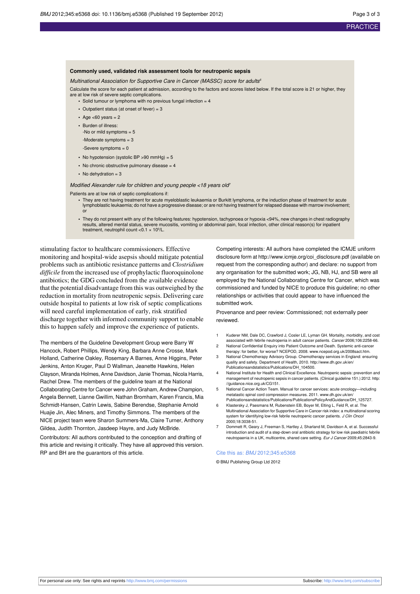#### **Commonly used, validated risk assessment tools for neutropenic sepsis**

Multinational Association for Supportive Care in Cancer (MASSC) score for adults<sup>6</sup>

Calculate the score for each patient at admission, according to the factors and scores listed below. If the total score is 21 or higher, they are at low risk of severe septic complications.

- **•** Solid tumour or lymphoma with no previous fungal infection = 4
- **•** Outpatient status (at onset of fever) = 3
- **•** Age <60 years = 2
- **•** Burden of illness:
	- -No or mild symptoms  $= 5$ -Moderate symptoms = 3
- -Severe symptoms = 0
- **•** No hypotension (systolic BP >90 mmHg) = 5
- **•** No chronic obstructive pulmonary disease = 4
- No dehydration = 3

Modified Alexander rule for children and young people <18 years old<sup>7</sup>

Patients are at low risk of septic complications if:

- **•** They are not having treatment for acute myeloblastic leukaemia or Burkitt lymphoma, or the induction phase of treatment for acute lymphoblastic leukaemia; do not have a progressive disease; or are not having treatment for relapsed disease with marrow involvement; or
- **•** They do not present with any of the following features: hypotension, tachypnoea or hypoxia <94%, new changes in chest radiography results, altered mental status, severe mucositis, vomiting or abdominal pain, focal infection, other clinical reason(s) for inpatient treatment, neutrophil count <0.1 × 10<sup>9</sup>/L.

stimulating factor to healthcare commissioners. Effective monitoring and hospital-wide asepsis should mitigate potential problems such as antibiotic resistance patterns and *Clostridium difficile* from the increased use of prophylactic fluoroquinolone antibiotics; the GDG concluded from the available evidence that the potential disadvantage from this was outweighed by the reduction in mortality from neutropenic sepsis. Delivering care outside hospital to patients at low risk of septic complications will need careful implementation of early, risk stratified discharge together with informed community support to enable this to happen safely and improve the experience of patients.

The members of the Guideline Development Group were Barry W Hancock, Robert Phillips, Wendy King, Barbara Anne Crosse, Mark Holland, Catherine Oakley, Rosemary A Barnes, Anne Higgins, Peter Jenkins, Anton Kruger, Paul D Wallman, Jeanette Hawkins, Helen Clayson, Miranda Holmes, Anne Davidson, Janie Thomas, Nicola Harris, Rachel Drew. The members of the guideline team at the National Collaborating Centre for Cancer were John Graham, Andrew Champion, Angela Bennett, Lianne Gwillim, Nathan Bromham, Karen Francis, Mia Schmidt-Hansen, Catrin Lewis, Sabine Berendse, Stephanie Arnold Huajie Jin, Alec Miners, and Timothy Simmons. The members of the NICE project team were Sharon Summers-Ma, Claire Turner, Anthony Gildea, Judith Thornton, Jasdeep Hayre, and Judy McBride.

Contributors: All authors contributed to the conception and drafting of this article and revising it critically. They have all approved this version. RP and BH are the guarantors of this article.

Competing interests: All authors have completed the ICMJE uniform disclosure form at [http://www.icmje.org/coi\\_disclosure.pdf](http://www.icmje.org/coi_disclosure.pdf) (available on request from the corresponding author) and declare: no support from any organisation for the submitted work; JG, NB, HJ, and SB were all employed by the National Collaborating Centre for Cancer, which was commissioned and funded by NICE to produce this guideline; no other relationships or activities that could appear to have influenced the submitted work.

Provenance and peer review: Commissioned; not externally peer reviewed.

- 1 Kuderer NM, Dale DC, Crawford J, Cosler LE, Lyman GH. Mortality, morbidity, and cost associated with febrile neutropenia in adult cancer patients. Cancer 2006;106:2258-66.
- 2 National Confidential Enquiry into Patient Outcome and Death. Systemic anti-cance therapy: for better, for worse? NCEPOD, 2008. [www.ncepod.org.uk/2008sact.htm.](http://www.ncepod.org.uk/2008sact.htm)
- 3 National Chemotherapy Advisory Group. Chemotherapy services in England: ensuring quality and safety. Department of Health, 2010. [http://www.dh.gov.uk/en/](http://www.dh.gov.uk/en/Publicationsandstatistics/Publications/DH_104500) [Publicationsandstatistics/Publications/DH\\_104500.](http://www.dh.gov.uk/en/Publicationsandstatistics/Publications/DH_104500)
- 4 National Institute for Health and Clinical Excellence. Neutropenic sepsis: prevention and management of neutropenic sepsis in cancer patients. (Clinical guideline 151.) 2012. [http:](http://guidance.nice.org.uk/CG151) [//guidance.nice.org.uk/CG151](http://guidance.nice.org.uk/CG151).
- 5 National Cancer Action Team. Manual for cancer services: acute oncology—including metatastic spinal cord compression measures. 2011. [www.dh.gov.uk/en/](http://www.dh.gov.uk/en/Publicationsandstatistics/Publications/PublicationsPolicyAndGuidance/DH_125727) [Publicationsandstatistics/Publications/PublicationsPolicyAndGuidance/DH\\_125727](http://www.dh.gov.uk/en/Publicationsandstatistics/Publications/PublicationsPolicyAndGuidance/DH_125727).
- 6 Klastersky J, Paesmans M, Rubenstein EB, Boyer M, Elting L, Feld R, et al. The Multinational Association for Supportive Care in Cancer risk index: a multinational scoring system for identifying low-risk febrile neutropenic cancer patients. J Clin Oncol 2000;18:3038-51.
- 7 Dommett R, Geary J, Freeman S, Hartley J, Sharland M, Davidson A, et al. Successful introduction and audit of a step-down oral antibiotic strategy for low risk paediatric febrile neutropaenia in a UK, multicentre, shared care setting. Eur J Cancer 2009;45:2843-9.

#### Cite this as: BMJ 2012;345:e5368

© BMJ Publishing Group Ltd 2012